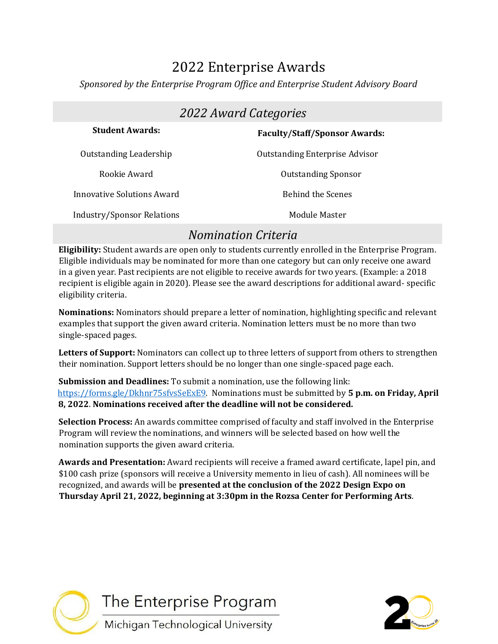# 2022 Enterprise Awards

*Sponsored by the Enterprise Program Office and Enterprise Student Advisory Board* 

| 2022 Award Categories             |                                       |
|-----------------------------------|---------------------------------------|
| <b>Student Awards:</b>            | <b>Faculty/Staff/Sponsor Awards:</b>  |
| Outstanding Leadership            | <b>Outstanding Enterprise Advisor</b> |
| Rookie Award                      | <b>Outstanding Sponsor</b>            |
| Innovative Solutions Award        | <b>Behind the Scenes</b>              |
| <b>Industry/Sponsor Relations</b> | Module Master                         |

## *Nomination Criteria*

**Eligibility:** Student awards are open only to students currently enrolled in the Enterprise Program. Eligible individuals may be nominated for more than one category but can only receive one award in a given year. Past recipients are not eligible to receive awards for two years. (Example: a 2018 recipient is eligible again in 2020). Please see the award descriptions for additional award- specific eligibility criteria.

**Nominations:** Nominators should prepare a letter of nomination, highlighting specific and relevant examples that support the given award criteria. Nomination letters must be no more than two single-spaced pages.

**Letters of Support:** Nominators can collect up to three letters of support from others to strengthen their nomination. Support letters should be no longer than one single-spaced page each.

**Submission and Deadlines:** To submit a nomination, use the following link: [https://forms.gle/Dkhnr75sfvsSeExE9.](https://forms.gle/Dkhnr75sfvsSeExE9) [N](https://forms.gle/pVqZmGR1xTcQAM259)ominations must be submitted by **5 p.m. on Friday, April 8, 2022**. **Nominations received after the deadline will not be considered.** 

**Selection Process:** An awards committee comprised of faculty and staff involved in the Enterprise Program will review the nominations, and winners will be selected based on how well the nomination supports the given award criteria.

**Awards and Presentation:** Award recipients will receive a framed award certificate, lapel pin, and \$100 cash prize (sponsors will receive a University memento in lieu of cash). All nominees will be recognized, and awards will be **presented at the conclusion of the 2022 Design Expo on Thursday April 21, 2022, beginning at 3:30pm in the Rozsa Center for Performing Arts**.

The Enterprise Program Michigan Technological University

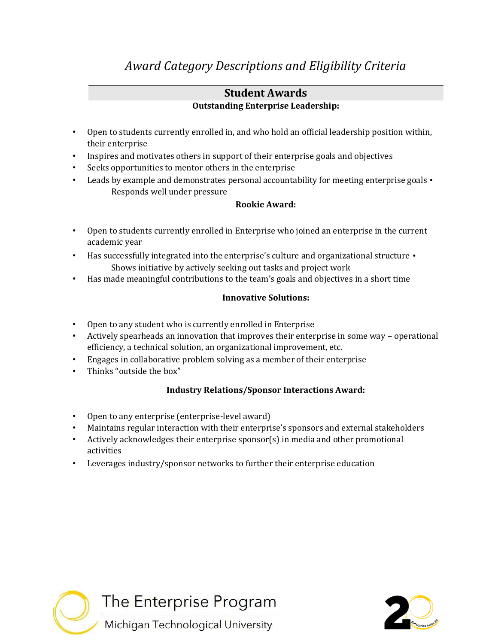## *Award Category Descriptions and Eligibility Criteria*

#### **Student Awards Outstanding Enterprise Leadership:**

- Open to students currently enrolled in, and who hold an official leadership position within, their enterprise
- Inspires and motivates others in support of their enterprise goals and objectives
- Seeks opportunities to mentor others in the enterprise
- Leads by example and demonstrates personal accountability for meeting enterprise goals Responds well under pressure

#### **Rookie Award:**

- Open to students currently enrolled in Enterprise who joined an enterprise in the current academic year
- Has successfully integrated into the enterprise's culture and organizational structure Shows initiative by actively seeking out tasks and project work
- Has made meaningful contributions to the team's goals and objectives in a short time

#### **Innovative Solutions:**

- Open to any student who is currently enrolled in Enterprise
- Actively spearheads an innovation that improves their enterprise in some way operational efficiency, a technical solution, an organizational improvement, etc.
- Engages in collaborative problem solving as a member of their enterprise
- Thinks "outside the box"

#### **Industry Relations/Sponsor Interactions Award:**

- Open to any enterprise (enterprise-level award)
- Maintains regular interaction with their enterprise's sponsors and external stakeholders
- Actively acknowledges their enterprise sponsor(s) in media and other promotional activities
- Leverages industry/sponsor networks to further their enterprise education